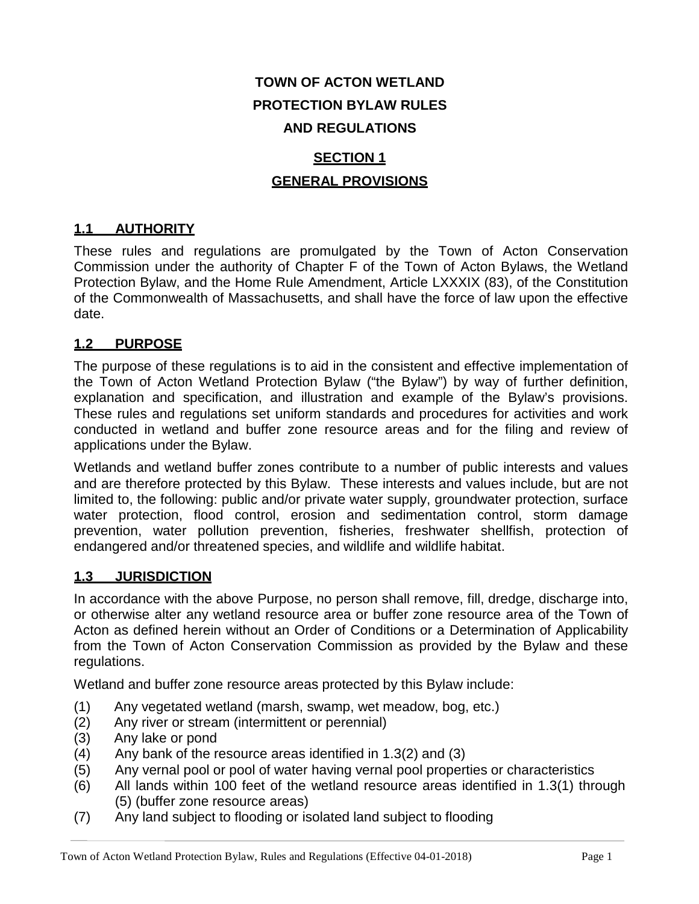# **TOWN OF ACTON WETLAND PROTECTION BYLAW RULES AND REGULATIONS**

# **SECTION 1 GENERAL PROVISIONS**

# **1.1 AUTHORITY**

These rules and regulations are promulgated by the Town of Acton Conservation Commission under the authority of Chapter F of the Town of Acton Bylaws, the Wetland Protection Bylaw, and the Home Rule Amendment, Article LXXXIX (83), of the Constitution of the Commonwealth of Massachusetts, and shall have the force of law upon the effective date.

## **1.2 PURPOSE**

The purpose of these regulations is to aid in the consistent and effective implementation of the Town of Acton Wetland Protection Bylaw ("the Bylaw") by way of further definition, explanation and specification, and illustration and example of the Bylaw's provisions. These rules and regulations set uniform standards and procedures for activities and work conducted in wetland and buffer zone resource areas and for the filing and review of applications under the Bylaw.

Wetlands and wetland buffer zones contribute to a number of public interests and values and are therefore protected by this Bylaw. These interests and values include, but are not limited to, the following: public and/or private water supply, groundwater protection, surface water protection, flood control, erosion and sedimentation control, storm damage prevention, water pollution prevention, fisheries, freshwater shellfish, protection of endangered and/or threatened species, and wildlife and wildlife habitat.

## **1.3 JURISDICTION**

In accordance with the above Purpose, no person shall remove, fill, dredge, discharge into, or otherwise alter any wetland resource area or buffer zone resource area of the Town of Acton as defined herein without an Order of Conditions or a Determination of Applicability from the Town of Acton Conservation Commission as provided by the Bylaw and these regulations.

Wetland and buffer zone resource areas protected by this Bylaw include:

- (1) Any vegetated wetland (marsh, swamp, wet meadow, bog, etc.)
- (2) Any river or stream (intermittent or perennial)
- (3) Any lake or pond
- (4) Any bank of the resource areas identified in 1.3(2) and (3)
- (5) Any vernal pool or pool of water having vernal pool properties or characteristics
- (6) All lands within 100 feet of the wetland resource areas identified in 1.3(1) through (5) (buffer zone resource areas)
- (7) Any land subject to flooding or isolated land subject to flooding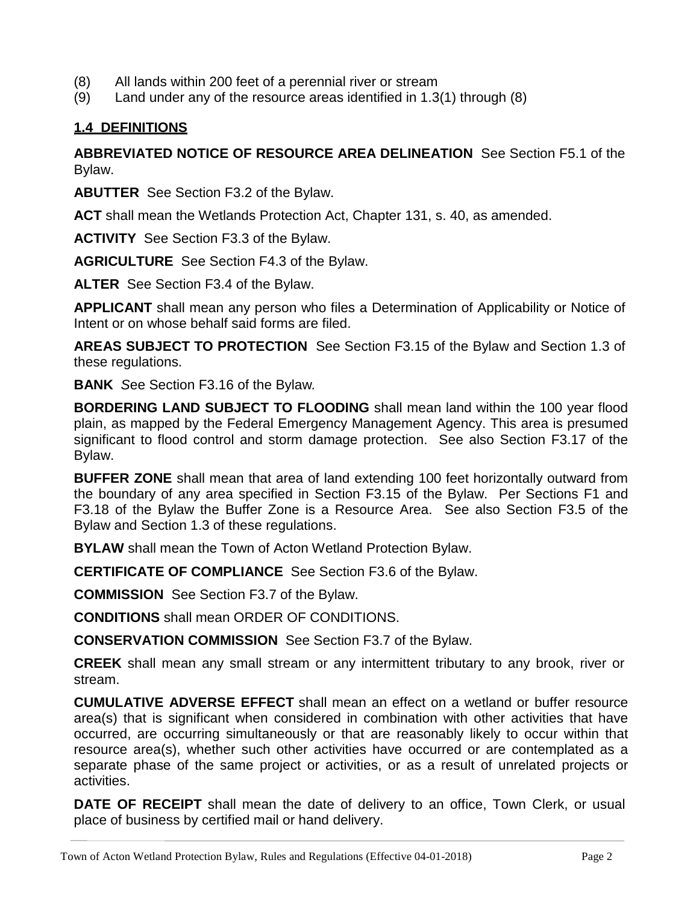- (8) All lands within 200 feet of a perennial river or stream
- (9) Land under any of the resource areas identified in 1.3(1) through (8)

#### **1.4 DEFINITIONS**

**ABBREVIATED NOTICE OF RESOURCE AREA DELINEATION** See Section F5.1 of the Bylaw.

**ABUTTER** See Section F3.2 of the Bylaw.

**ACT** shall mean the Wetlands Protection Act, Chapter 131, s. 40, as amended.

**ACTIVITY** See Section F3.3 of the Bylaw.

**AGRICULTURE** See Section F4.3 of the Bylaw.

**ALTER** See Section F3.4 of the Bylaw.

**APPLICANT** shall mean any person who files a Determination of Applicability or Notice of Intent or on whose behalf said forms are filed.

**AREAS SUBJECT TO PROTECTION** See Section F3.15 of the Bylaw and Section 1.3 of these regulations.

**BANK** *S*ee Section F3.16 of the Bylaw*.*

**BORDERING LAND SUBJECT TO FLOODING** shall mean land within the 100 year flood plain, as mapped by the Federal Emergency Management Agency. This area is presumed significant to flood control and storm damage protection. See also Section F3.17 of the Bylaw.

**BUFFER ZONE** shall mean that area of land extending 100 feet horizontally outward from the boundary of any area specified in Section F3.15 of the Bylaw. Per Sections F1 and F3.18 of the Bylaw the Buffer Zone is a Resource Area. See also Section F3.5 of the Bylaw and Section 1.3 of these regulations.

**BYLAW** shall mean the Town of Acton Wetland Protection Bylaw.

**CERTIFICATE OF COMPLIANCE** See Section F3.6 of the Bylaw.

**COMMISSION** See Section F3.7 of the Bylaw.

**CONDITIONS** shall mean ORDER OF CONDITIONS.

**CONSERVATION COMMISSION** See Section F3.7 of the Bylaw.

**CREEK** shall mean any small stream or any intermittent tributary to any brook, river or stream.

**CUMULATIVE ADVERSE EFFECT** shall mean an effect on a wetland or buffer resource area(s) that is significant when considered in combination with other activities that have occurred, are occurring simultaneously or that are reasonably likely to occur within that resource area(s), whether such other activities have occurred or are contemplated as a separate phase of the same project or activities, or as a result of unrelated projects or activities.

**DATE OF RECEIPT** shall mean the date of delivery to an office, Town Clerk, or usual place of business by certified mail or hand delivery.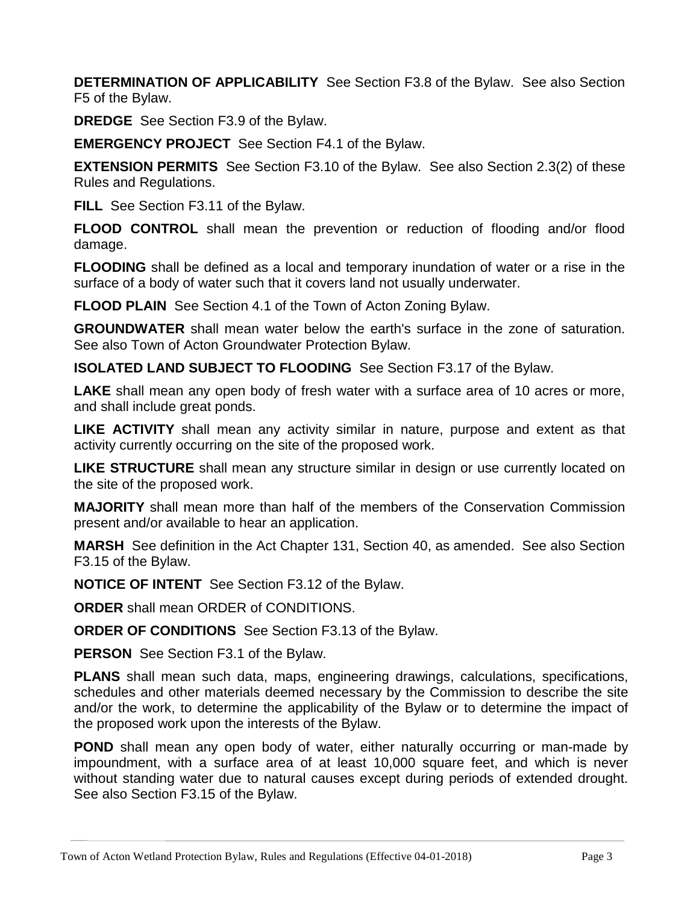**DETERMINATION OF APPLICABILITY** See Section F3.8 of the Bylaw. See also Section F5 of the Bylaw.

**DREDGE** See Section F3.9 of the Bylaw.

**EMERGENCY PROJECT** See Section F4.1 of the Bylaw.

**EXTENSION PERMITS** See Section F3.10 of the Bylaw. See also Section 2.3(2) of these Rules and Regulations.

**FILL** See Section F3.11 of the Bylaw.

**FLOOD CONTROL** shall mean the prevention or reduction of flooding and/or flood damage.

**FLOODING** shall be defined as a local and temporary inundation of water or a rise in the surface of a body of water such that it covers land not usually underwater.

**FLOOD PLAIN** See Section 4.1 of the Town of Acton Zoning Bylaw.

**GROUNDWATER** shall mean water below the earth's surface in the zone of saturation. See also Town of Acton Groundwater Protection Bylaw.

**ISOLATED LAND SUBJECT TO FLOODING** See Section F3.17 of the Bylaw.

**LAKE** shall mean any open body of fresh water with a surface area of 10 acres or more, and shall include great ponds.

**LIKE ACTIVITY** shall mean any activity similar in nature, purpose and extent as that activity currently occurring on the site of the proposed work.

**LIKE STRUCTURE** shall mean any structure similar in design or use currently located on the site of the proposed work.

**MAJORITY** shall mean more than half of the members of the Conservation Commission present and/or available to hear an application.

**MARSH** See definition in the Act Chapter 131, Section 40, as amended. See also Section F3.15 of the Bylaw.

**NOTICE OF INTENT** See Section F3.12 of the Bylaw.

**ORDER** shall mean ORDER of CONDITIONS.

**ORDER OF CONDITIONS** See Section F3.13 of the Bylaw.

**PERSON** See Section F3.1 of the Bylaw.

**PLANS** shall mean such data, maps, engineering drawings, calculations, specifications, schedules and other materials deemed necessary by the Commission to describe the site and/or the work, to determine the applicability of the Bylaw or to determine the impact of the proposed work upon the interests of the Bylaw.

**POND** shall mean any open body of water, either naturally occurring or man-made by impoundment, with a surface area of at least 10,000 square feet, and which is never without standing water due to natural causes except during periods of extended drought. See also Section F3.15 of the Bylaw.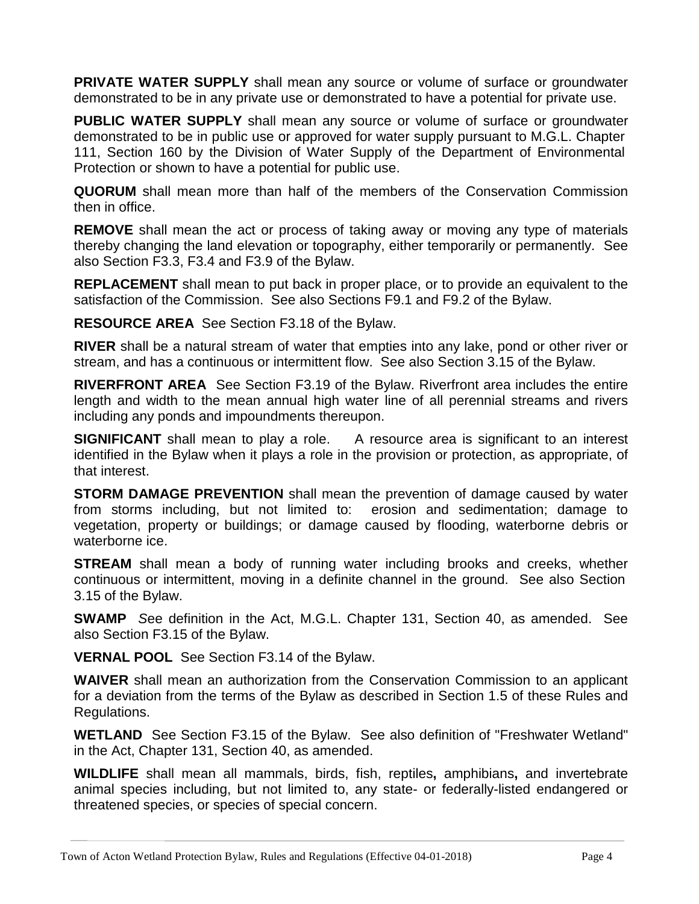**PRIVATE WATER SUPPLY** shall mean any source or volume of surface or groundwater demonstrated to be in any private use or demonstrated to have a potential for private use.

**PUBLIC WATER SUPPLY** shall mean any source or volume of surface or groundwater demonstrated to be in public use or approved for water supply pursuant to M.G.L. Chapter 111, Section 160 by the Division of Water Supply of the Department of Environmental Protection or shown to have a potential for public use.

**QUORUM** shall mean more than half of the members of the Conservation Commission then in office.

**REMOVE** shall mean the act or process of taking away or moving any type of materials thereby changing the land elevation or topography, either temporarily or permanently. See also Section F3.3, F3.4 and F3.9 of the Bylaw.

**REPLACEMENT** shall mean to put back in proper place, or to provide an equivalent to the satisfaction of the Commission. See also Sections F9.1 and F9.2 of the Bylaw.

**RESOURCE AREA** See Section F3.18 of the Bylaw.

**RIVER** shall be a natural stream of water that empties into any lake, pond or other river or stream, and has a continuous or intermittent flow. See also Section 3.15 of the Bylaw.

**RIVERFRONT AREA** See Section F3.19 of the Bylaw. Riverfront area includes the entire length and width to the mean annual high water line of all perennial streams and rivers including any ponds and impoundments thereupon.

**SIGNIFICANT** shall mean to play a role. A resource area is significant to an interest identified in the Bylaw when it plays a role in the provision or protection, as appropriate, of that interest.

**STORM DAMAGE PREVENTION** shall mean the prevention of damage caused by water from storms including, but not limited to: erosion and sedimentation; damage to vegetation, property or buildings; or damage caused by flooding, waterborne debris or waterborne ice.

**STREAM** shall mean a body of running water including brooks and creeks, whether continuous or intermittent, moving in a definite channel in the ground. See also Section 3.15 of the Bylaw.

**SWAMP** *S*ee definition in the Act, M.G.L. Chapter 131, Section 40, as amended. See also Section F3.15 of the Bylaw.

**VERNAL POOL** See Section F3.14 of the Bylaw.

**WAIVER** shall mean an authorization from the Conservation Commission to an applicant for a deviation from the terms of the Bylaw as described in Section 1.5 of these Rules and Regulations.

**WETLAND** See Section F3.15 of the Bylaw. See also definition of "Freshwater Wetland" in the Act, Chapter 131, Section 40, as amended.

**WILDLIFE** shall mean all mammals, birds, fish, reptiles**,** amphibians**,** and invertebrate animal species including, but not limited to, any state- or federally-listed endangered or threatened species, or species of special concern.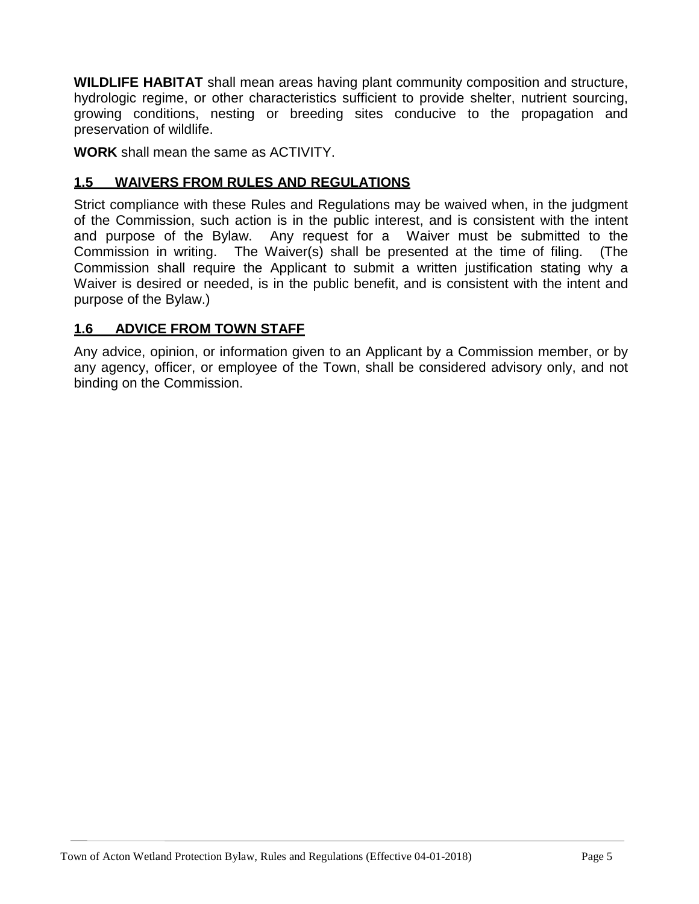**WILDLIFE HABITAT** shall mean areas having plant community composition and structure, hydrologic regime, or other characteristics sufficient to provide shelter, nutrient sourcing, growing conditions, nesting or breeding sites conducive to the propagation and preservation of wildlife.

**WORK** shall mean the same as ACTIVITY.

#### **1.5 WAIVERS FROM RULES AND REGULATIONS**

Strict compliance with these Rules and Regulations may be waived when, in the judgment of the Commission, such action is in the public interest, and is consistent with the intent and purpose of the Bylaw. Any request for a Waiver must be submitted to the Commission in writing. The Waiver(s) shall be presented at the time of filing. (The Commission shall require the Applicant to submit a written justification stating why a Waiver is desired or needed, is in the public benefit, and is consistent with the intent and purpose of the Bylaw.)

#### **1.6 ADVICE FROM TOWN STAFF**

Any advice, opinion, or information given to an Applicant by a Commission member, or by any agency, officer, or employee of the Town, shall be considered advisory only, and not binding on the Commission.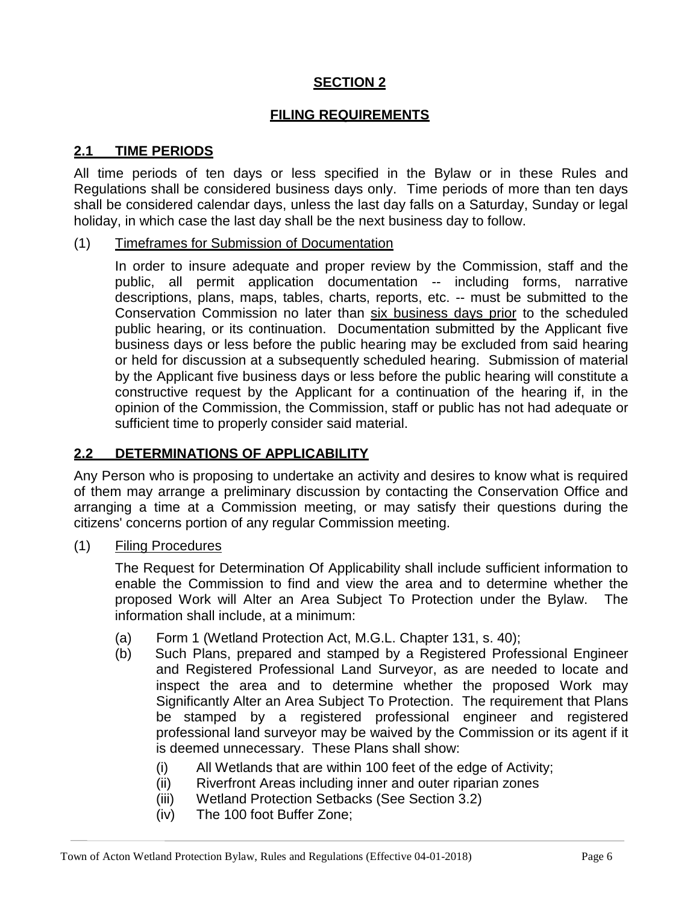## **SECTION 2**

#### **FILING REQUIREMENTS**

#### **2.1 TIME PERIODS**

All time periods of ten days or less specified in the Bylaw or in these Rules and Regulations shall be considered business days only. Time periods of more than ten days shall be considered calendar days, unless the last day falls on a Saturday, Sunday or legal holiday, in which case the last day shall be the next business day to follow.

#### (1) Timeframes for Submission of Documentation

In order to insure adequate and proper review by the Commission, staff and the public, all permit application documentation -- including forms, narrative descriptions, plans, maps, tables, charts, reports, etc. -- must be submitted to the Conservation Commission no later than six business days prior to the scheduled public hearing, or its continuation. Documentation submitted by the Applicant five business days or less before the public hearing may be excluded from said hearing or held for discussion at a subsequently scheduled hearing. Submission of material by the Applicant five business days or less before the public hearing will constitute a constructive request by the Applicant for a continuation of the hearing if, in the opinion of the Commission, the Commission, staff or public has not had adequate or sufficient time to properly consider said material.

#### **2.2 DETERMINATIONS OF APPLICABILITY**

Any Person who is proposing to undertake an activity and desires to know what is required of them may arrange a preliminary discussion by contacting the Conservation Office and arranging a time at a Commission meeting, or may satisfy their questions during the citizens' concerns portion of any regular Commission meeting.

(1) Filing Procedures

The Request for Determination Of Applicability shall include sufficient information to enable the Commission to find and view the area and to determine whether the proposed Work will Alter an Area Subject To Protection under the Bylaw. The information shall include, at a minimum:

- (a) Form 1 (Wetland Protection Act, M.G.L. Chapter 131, s. 40);
- (b) Such Plans, prepared and stamped by a Registered Professional Engineer and Registered Professional Land Surveyor, as are needed to locate and inspect the area and to determine whether the proposed Work may Significantly Alter an Area Subject To Protection. The requirement that Plans be stamped by a registered professional engineer and registered professional land surveyor may be waived by the Commission or its agent if it is deemed unnecessary. These Plans shall show:
	- (i) All Wetlands that are within 100 feet of the edge of Activity;
	- (ii) Riverfront Areas including inner and outer riparian zones
	- (iii) Wetland Protection Setbacks (See Section 3.2)
	- (iv) The 100 foot Buffer Zone;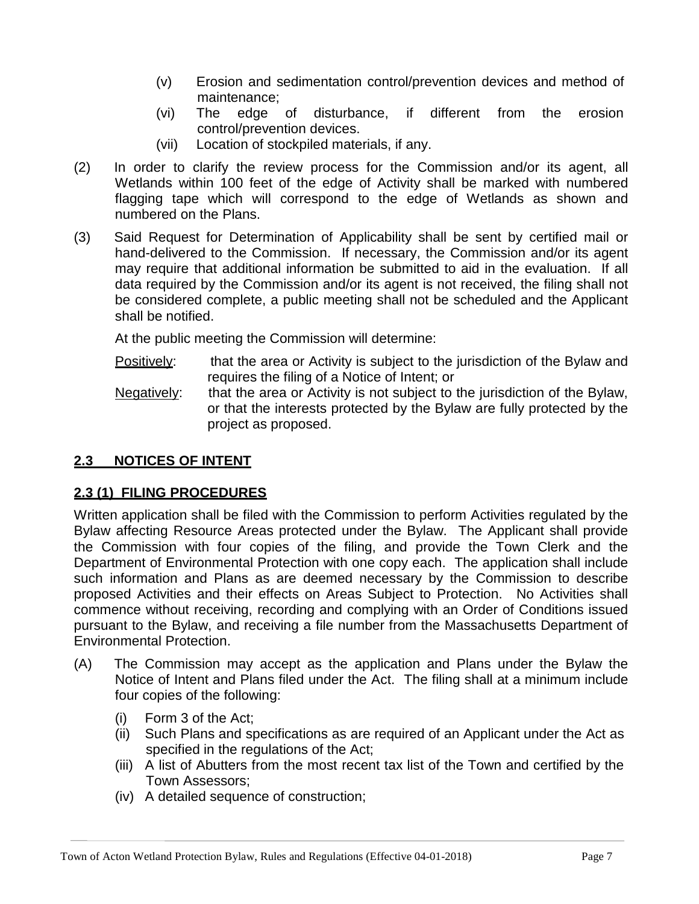- (v) Erosion and sedimentation control/prevention devices and method of maintenance;
- (vi) The edge of disturbance, if different from the erosion control/prevention devices.
- (vii) Location of stockpiled materials, if any.
- (2) In order to clarify the review process for the Commission and/or its agent, all Wetlands within 100 feet of the edge of Activity shall be marked with numbered flagging tape which will correspond to the edge of Wetlands as shown and numbered on the Plans.
- (3) Said Request for Determination of Applicability shall be sent by certified mail or hand-delivered to the Commission. If necessary, the Commission and/or its agent may require that additional information be submitted to aid in the evaluation. If all data required by the Commission and/or its agent is not received, the filing shall not be considered complete, a public meeting shall not be scheduled and the Applicant shall be notified.

At the public meeting the Commission will determine:

- Positively: that the area or Activity is subject to the jurisdiction of the Bylaw and requires the filing of a Notice of Intent; or
- Negatively: that the area or Activity is not subject to the jurisdiction of the Bylaw, or that the interests protected by the Bylaw are fully protected by the project as proposed.

# **2.3 NOTICES OF INTENT**

# **2.3 (1) FILING PROCEDURES**

Written application shall be filed with the Commission to perform Activities regulated by the Bylaw affecting Resource Areas protected under the Bylaw. The Applicant shall provide the Commission with four copies of the filing, and provide the Town Clerk and the Department of Environmental Protection with one copy each. The application shall include such information and Plans as are deemed necessary by the Commission to describe proposed Activities and their effects on Areas Subject to Protection. No Activities shall commence without receiving, recording and complying with an Order of Conditions issued pursuant to the Bylaw, and receiving a file number from the Massachusetts Department of Environmental Protection.

- (A) The Commission may accept as the application and Plans under the Bylaw the Notice of Intent and Plans filed under the Act. The filing shall at a minimum include four copies of the following:
	- (i) Form 3 of the Act;
	- (ii) Such Plans and specifications as are required of an Applicant under the Act as specified in the regulations of the Act;
	- (iii) A list of Abutters from the most recent tax list of the Town and certified by the Town Assessors;
	- (iv) A detailed sequence of construction;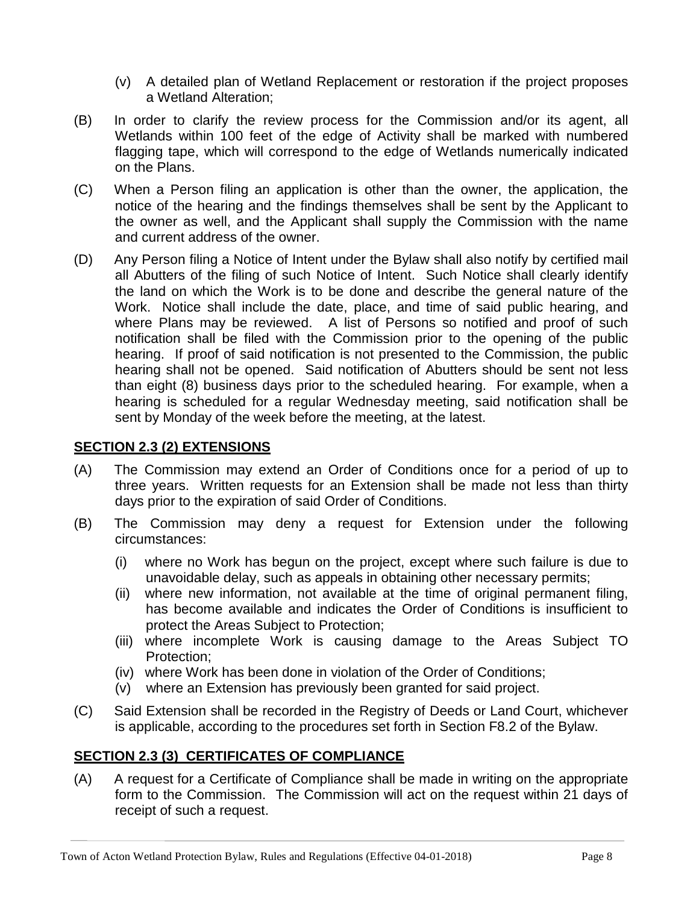- (v) A detailed plan of Wetland Replacement or restoration if the project proposes a Wetland Alteration;
- (B) In order to clarify the review process for the Commission and/or its agent, all Wetlands within 100 feet of the edge of Activity shall be marked with numbered flagging tape, which will correspond to the edge of Wetlands numerically indicated on the Plans.
- (C) When a Person filing an application is other than the owner, the application, the notice of the hearing and the findings themselves shall be sent by the Applicant to the owner as well, and the Applicant shall supply the Commission with the name and current address of the owner.
- (D) Any Person filing a Notice of Intent under the Bylaw shall also notify by certified mail all Abutters of the filing of such Notice of Intent. Such Notice shall clearly identify the land on which the Work is to be done and describe the general nature of the Work. Notice shall include the date, place, and time of said public hearing, and where Plans may be reviewed. A list of Persons so notified and proof of such notification shall be filed with the Commission prior to the opening of the public hearing. If proof of said notification is not presented to the Commission, the public hearing shall not be opened. Said notification of Abutters should be sent not less than eight (8) business days prior to the scheduled hearing. For example, when a hearing is scheduled for a regular Wednesday meeting, said notification shall be sent by Monday of the week before the meeting, at the latest.

# **SECTION 2.3 (2) EXTENSIONS**

- (A) The Commission may extend an Order of Conditions once for a period of up to three years. Written requests for an Extension shall be made not less than thirty days prior to the expiration of said Order of Conditions.
- (B) The Commission may deny a request for Extension under the following circumstances:
	- (i) where no Work has begun on the project, except where such failure is due to unavoidable delay, such as appeals in obtaining other necessary permits;
	- (ii) where new information, not available at the time of original permanent filing, has become available and indicates the Order of Conditions is insufficient to protect the Areas Subject to Protection;
	- (iii) where incomplete Work is causing damage to the Areas Subject TO Protection;
	- (iv) where Work has been done in violation of the Order of Conditions;
	- $\overrightarrow{(v)}$  where an Extension has previously been granted for said project.
- (C) Said Extension shall be recorded in the Registry of Deeds or Land Court, whichever is applicable, according to the procedures set forth in Section F8.2 of the Bylaw.

## **SECTION 2.3 (3) CERTIFICATES OF COMPLIANCE**

(A) A request for a Certificate of Compliance shall be made in writing on the appropriate form to the Commission. The Commission will act on the request within 21 days of receipt of such a request.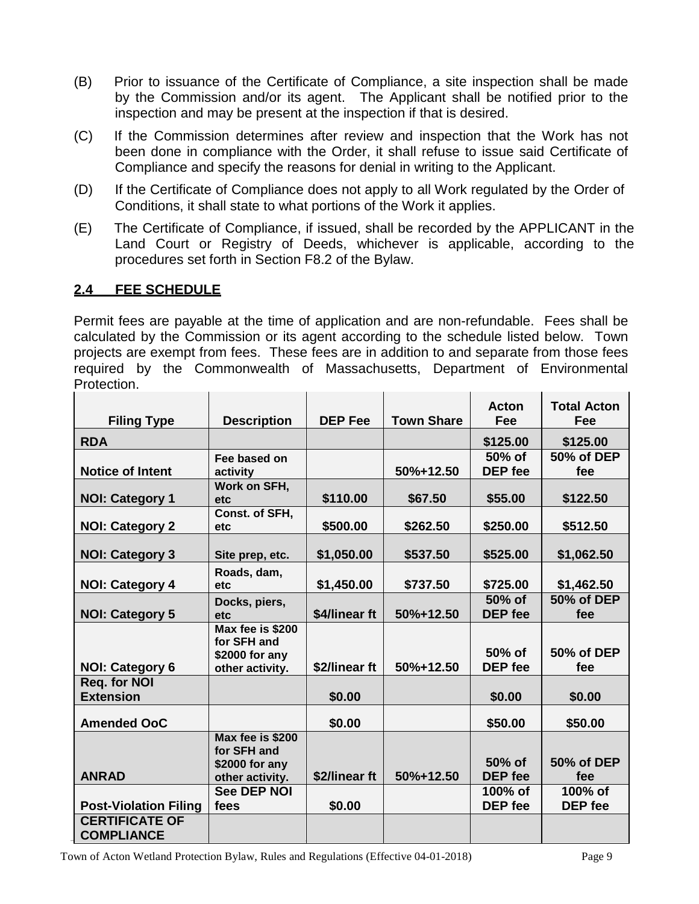- (B) Prior to issuance of the Certificate of Compliance, a site inspection shall be made by the Commission and/or its agent. The Applicant shall be notified prior to the inspection and may be present at the inspection if that is desired.
- (C) If the Commission determines after review and inspection that the Work has not been done in compliance with the Order, it shall refuse to issue said Certificate of Compliance and specify the reasons for denial in writing to the Applicant.
- (D) If the Certificate of Compliance does not apply to all Work regulated by the Order of Conditions, it shall state to what portions of the Work it applies.
- (E) The Certificate of Compliance, if issued, shall be recorded by the APPLICANT in the Land Court or Registry of Deeds, whichever is applicable, according to the procedures set forth in Section F8.2 of the Bylaw.

## **2.4 FEE SCHEDULE**

Permit fees are payable at the time of application and are non-refundable. Fees shall be calculated by the Commission or its agent according to the schedule listed below. Town projects are exempt from fees. These fees are in addition to and separate from those fees required by the Commonwealth of Massachusetts, Department of Environmental Protection.

| <b>Filing Type</b>                         | <b>Description</b>                                                   | <b>DEP Fee</b> | <b>Town Share</b> | <b>Acton</b><br><b>Fee</b> | <b>Total Acton</b><br>Fee |
|--------------------------------------------|----------------------------------------------------------------------|----------------|-------------------|----------------------------|---------------------------|
| <b>RDA</b>                                 |                                                                      |                |                   | \$125.00                   | \$125.00                  |
| <b>Notice of Intent</b>                    | Fee based on<br>activity                                             |                | 50%+12.50         | 50% of<br><b>DEP</b> fee   | 50% of DEP<br>fee         |
| <b>NOI: Category 1</b>                     | Work on SFH,<br>etc                                                  | \$110.00       | \$67.50           | \$55.00                    | \$122.50                  |
| <b>NOI: Category 2</b>                     | Const. of SFH,<br>etc                                                | \$500.00       | \$262.50          | \$250.00                   | \$512.50                  |
| <b>NOI: Category 3</b>                     | Site prep, etc.                                                      | \$1,050.00     | \$537.50          | \$525.00                   | \$1,062.50                |
| <b>NOI: Category 4</b>                     | Roads, dam,<br>etc                                                   | \$1,450.00     | \$737.50          | \$725.00                   | \$1,462.50                |
| <b>NOI: Category 5</b>                     | Docks, piers,<br>etc                                                 | \$4/linear ft  | 50%+12.50         | 50% of<br><b>DEP</b> fee   | 50% of DEP<br>fee         |
| <b>NOI: Category 6</b>                     | Max fee is \$200<br>for SFH and<br>\$2000 for any<br>other activity. | \$2/linear ft  | 50%+12.50         | 50% of<br><b>DEP</b> fee   | 50% of DEP<br>fee         |
| Req. for NOI<br><b>Extension</b>           |                                                                      | \$0.00         |                   | \$0.00                     | \$0.00                    |
| <b>Amended OoC</b>                         |                                                                      | \$0.00         |                   | \$50.00                    | \$50.00                   |
| <b>ANRAD</b>                               | Max fee is \$200<br>for SFH and<br>\$2000 for any<br>other activity. | \$2/linear ft  | 50%+12.50         | 50% of<br><b>DEP</b> fee   | 50% of DEP<br>fee         |
| <b>Post-Violation Filing</b>               | <b>See DEP NOI</b><br>fees                                           | \$0.00         |                   | 100% of<br><b>DEP</b> fee  | 100% of<br>DEP fee        |
| <b>CERTIFICATE OF</b><br><b>COMPLIANCE</b> |                                                                      |                |                   |                            |                           |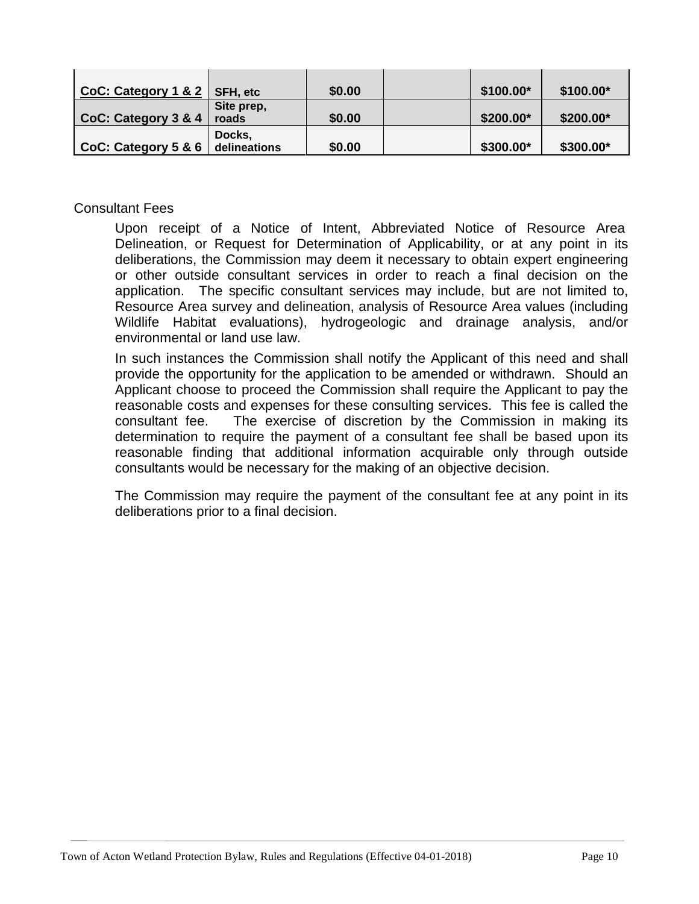| $CoC: Category 1 & 2$ SFH, etc |              | \$0.00 | \$100.00* | \$100.00* |
|--------------------------------|--------------|--------|-----------|-----------|
|                                | Site prep,   |        |           |           |
| CoC: Category 3 & 4            | roads        | \$0.00 | \$200.00* | \$200.00* |
|                                | Docks,       |        |           |           |
| CoC: Category $5 & 6$          | delineations | \$0.00 | \$300.00* | \$300.00* |

#### Consultant Fees

Upon receipt of a Notice of Intent, Abbreviated Notice of Resource Area Delineation, or Request for Determination of Applicability, or at any point in its deliberations, the Commission may deem it necessary to obtain expert engineering or other outside consultant services in order to reach a final decision on the application. The specific consultant services may include, but are not limited to, Resource Area survey and delineation, analysis of Resource Area values (including Wildlife Habitat evaluations), hydrogeologic and drainage analysis, and/or environmental or land use law.

In such instances the Commission shall notify the Applicant of this need and shall provide the opportunity for the application to be amended or withdrawn. Should an Applicant choose to proceed the Commission shall require the Applicant to pay the reasonable costs and expenses for these consulting services. This fee is called the consultant fee. The exercise of discretion by the Commission in making its determination to require the payment of a consultant fee shall be based upon its reasonable finding that additional information acquirable only through outside consultants would be necessary for the making of an objective decision.

The Commission may require the payment of the consultant fee at any point in its deliberations prior to a final decision.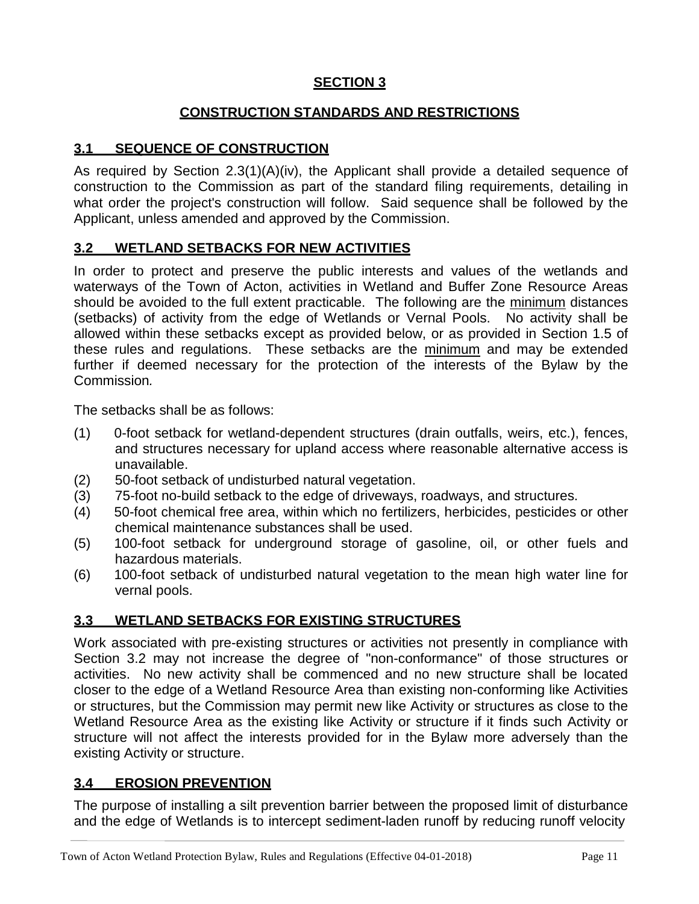## **SECTION 3**

## **CONSTRUCTION STANDARDS AND RESTRICTIONS**

# **3.1 SEQUENCE OF CONSTRUCTION**

As required by Section 2.3(1)(A)(iv), the Applicant shall provide a detailed sequence of construction to the Commission as part of the standard filing requirements, detailing in what order the project's construction will follow. Said sequence shall be followed by the Applicant, unless amended and approved by the Commission.

## **3.2 WETLAND SETBACKS FOR NEW ACTIVITIES**

In order to protect and preserve the public interests and values of the wetlands and waterways of the Town of Acton, activities in Wetland and Buffer Zone Resource Areas should be avoided to the full extent practicable. The following are the minimum distances (setbacks) of activity from the edge of Wetlands or Vernal Pools. No activity shall be allowed within these setbacks except as provided below, or as provided in Section 1.5 of these rules and regulations. These setbacks are the minimum and may be extended further if deemed necessary for the protection of the interests of the Bylaw by the Commission*.*

The setbacks shall be as follows:

- (1) 0-foot setback for wetland-dependent structures (drain outfalls, weirs, etc.), fences, and structures necessary for upland access where reasonable alternative access is unavailable.
- (2) 50-foot setback of undisturbed natural vegetation.
- (3) 75-foot no-build setback to the edge of driveways, roadways, and structures.
- (4) 50-foot chemical free area, within which no fertilizers, herbicides, pesticides or other chemical maintenance substances shall be used.
- (5) 100-foot setback for underground storage of gasoline, oil, or other fuels and hazardous materials.
- (6) 100-foot setback of undisturbed natural vegetation to the mean high water line for vernal pools.

## **3.3 WETLAND SETBACKS FOR EXISTING STRUCTURES**

Work associated with pre-existing structures or activities not presently in compliance with Section 3.2 may not increase the degree of "non-conformance" of those structures or activities. No new activity shall be commenced and no new structure shall be located closer to the edge of a Wetland Resource Area than existing non-conforming like Activities or structures, but the Commission may permit new like Activity or structures as close to the Wetland Resource Area as the existing like Activity or structure if it finds such Activity or structure will not affect the interests provided for in the Bylaw more adversely than the existing Activity or structure.

## **3.4 EROSION PREVENTION**

The purpose of installing a silt prevention barrier between the proposed limit of disturbance and the edge of Wetlands is to intercept sediment-laden runoff by reducing runoff velocity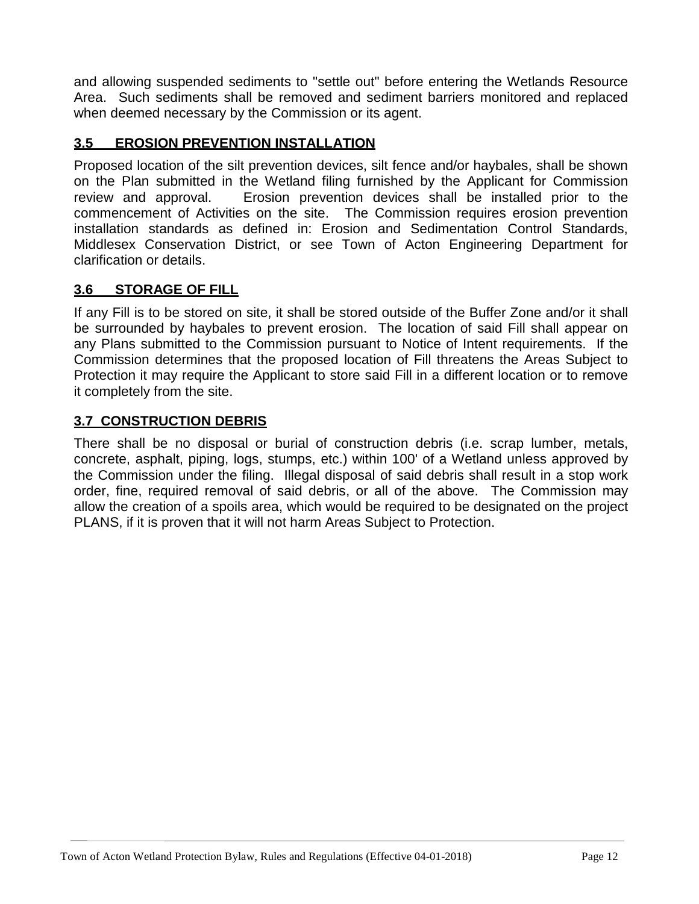and allowing suspended sediments to "settle out" before entering the Wetlands Resource Area. Such sediments shall be removed and sediment barriers monitored and replaced when deemed necessary by the Commission or its agent.

# **3.5 EROSION PREVENTION INSTALLATION**

Proposed location of the silt prevention devices, silt fence and/or haybales, shall be shown on the Plan submitted in the Wetland filing furnished by the Applicant for Commission review and approval. Erosion prevention devices shall be installed prior to the commencement of Activities on the site. The Commission requires erosion prevention installation standards as defined in: Erosion and Sedimentation Control Standards, Middlesex Conservation District, or see Town of Acton Engineering Department for clarification or details.

## **3.6 STORAGE OF FILL**

If any Fill is to be stored on site, it shall be stored outside of the Buffer Zone and/or it shall be surrounded by haybales to prevent erosion. The location of said Fill shall appear on any Plans submitted to the Commission pursuant to Notice of Intent requirements. If the Commission determines that the proposed location of Fill threatens the Areas Subject to Protection it may require the Applicant to store said Fill in a different location or to remove it completely from the site.

#### **3.7 CONSTRUCTION DEBRIS**

There shall be no disposal or burial of construction debris (i.e. scrap lumber, metals, concrete, asphalt, piping, logs, stumps, etc.) within 100' of a Wetland unless approved by the Commission under the filing. Illegal disposal of said debris shall result in a stop work order, fine, required removal of said debris, or all of the above. The Commission may allow the creation of a spoils area, which would be required to be designated on the project PLANS, if it is proven that it will not harm Areas Subject to Protection.